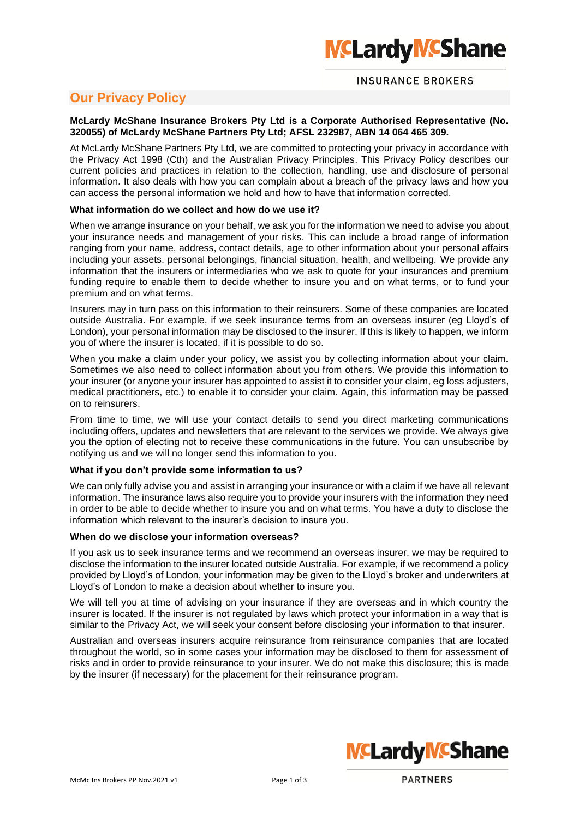# **INSURANCE BROKERS**

# **Our Privacy Policy**

### **McLardy McShane Insurance Brokers Pty Ltd is a Corporate Authorised Representative (No. 320055) of McLardy McShane Partners Pty Ltd; AFSL 232987, ABN 14 064 465 309.**

At McLardy McShane Partners Pty Ltd, we are committed to protecting your privacy in accordance with the Privacy Act 1998 (Cth) and the Australian Privacy Principles. This Privacy Policy describes our current policies and practices in relation to the collection, handling, use and disclosure of personal information. It also deals with how you can complain about a breach of the privacy laws and how you can access the personal information we hold and how to have that information corrected.

## **What information do we collect and how do we use it?**

When we arrange insurance on your behalf, we ask you for the information we need to advise you about your insurance needs and management of your risks. This can include a broad range of information ranging from your name, address, contact details, age to other information about your personal affairs including your assets, personal belongings, financial situation, health, and wellbeing. We provide any information that the insurers or intermediaries who we ask to quote for your insurances and premium funding require to enable them to decide whether to insure you and on what terms, or to fund your premium and on what terms.

Insurers may in turn pass on this information to their reinsurers. Some of these companies are located outside Australia. For example, if we seek insurance terms from an overseas insurer (eg Lloyd's of London), your personal information may be disclosed to the insurer. If this is likely to happen, we inform you of where the insurer is located, if it is possible to do so.

When you make a claim under your policy, we assist you by collecting information about your claim. Sometimes we also need to collect information about you from others. We provide this information to your insurer (or anyone your insurer has appointed to assist it to consider your claim, eg loss adjusters, medical practitioners, etc.) to enable it to consider your claim. Again, this information may be passed on to reinsurers.

From time to time, we will use your contact details to send you direct marketing communications including offers, updates and newsletters that are relevant to the services we provide. We always give you the option of electing not to receive these communications in the future. You can unsubscribe by notifying us and we will no longer send this information to you.

### **What if you don't provide some information to us?**

We can only fully advise you and assist in arranging your insurance or with a claim if we have all relevant information. The insurance laws also require you to provide your insurers with the information they need in order to be able to decide whether to insure you and on what terms. You have a duty to disclose the information which relevant to the insurer's decision to insure you.

### **When do we disclose your information overseas?**

If you ask us to seek insurance terms and we recommend an overseas insurer, we may be required to disclose the information to the insurer located outside Australia. For example, if we recommend a policy provided by Lloyd's of London, your information may be given to the Lloyd's broker and underwriters at Lloyd's of London to make a decision about whether to insure you.

We will tell you at time of advising on your insurance if they are overseas and in which country the insurer is located. If the insurer is not regulated by laws which protect your information in a way that is similar to the Privacy Act, we will seek your consent before disclosing your information to that insurer.

Australian and overseas insurers acquire reinsurance from reinsurance companies that are located throughout the world, so in some cases your information may be disclosed to them for assessment of risks and in order to provide reinsurance to your insurer. We do not make this disclosure; this is made by the insurer (if necessary) for the placement for their reinsurance program.

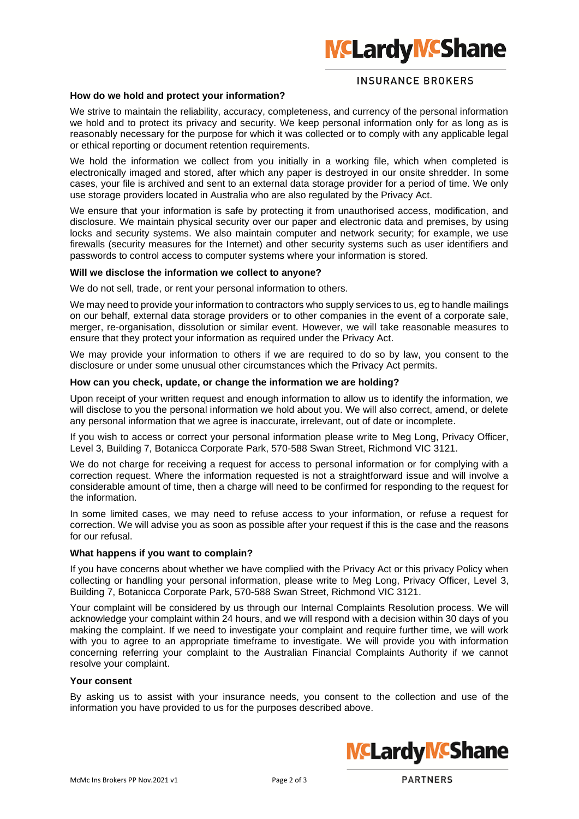# **INSURANCE BROKERS**

#### **How do we hold and protect your information?**

We strive to maintain the reliability, accuracy, completeness, and currency of the personal information we hold and to protect its privacy and security. We keep personal information only for as long as is reasonably necessary for the purpose for which it was collected or to comply with any applicable legal or ethical reporting or document retention requirements.

We hold the information we collect from you initially in a working file, which when completed is electronically imaged and stored, after which any paper is destroyed in our onsite shredder. In some cases, your file is archived and sent to an external data storage provider for a period of time. We only use storage providers located in Australia who are also regulated by the Privacy Act.

We ensure that your information is safe by protecting it from unauthorised access, modification, and disclosure. We maintain physical security over our paper and electronic data and premises, by using locks and security systems. We also maintain computer and network security; for example, we use firewalls (security measures for the Internet) and other security systems such as user identifiers and passwords to control access to computer systems where your information is stored.

### **Will we disclose the information we collect to anyone?**

We do not sell, trade, or rent your personal information to others.

We may need to provide your information to contractors who supply services to us, eg to handle mailings on our behalf, external data storage providers or to other companies in the event of a corporate sale, merger, re-organisation, dissolution or similar event. However, we will take reasonable measures to ensure that they protect your information as required under the Privacy Act.

We may provide your information to others if we are required to do so by law, you consent to the disclosure or under some unusual other circumstances which the Privacy Act permits.

#### **How can you check, update, or change the information we are holding?**

Upon receipt of your written request and enough information to allow us to identify the information, we will disclose to you the personal information we hold about you. We will also correct, amend, or delete any personal information that we agree is inaccurate, irrelevant, out of date or incomplete.

If you wish to access or correct your personal information please write to Meg Long, Privacy Officer, Level 3, Building 7, Botanicca Corporate Park, 570-588 Swan Street, Richmond VIC 3121.

We do not charge for receiving a request for access to personal information or for complying with a correction request. Where the information requested is not a straightforward issue and will involve a considerable amount of time, then a charge will need to be confirmed for responding to the request for the information.

In some limited cases, we may need to refuse access to your information, or refuse a request for correction. We will advise you as soon as possible after your request if this is the case and the reasons for our refusal.

#### **What happens if you want to complain?**

If you have concerns about whether we have complied with the Privacy Act or this privacy Policy when collecting or handling your personal information, please write to Meg Long, Privacy Officer, Level 3, Building 7, Botanicca Corporate Park, 570-588 Swan Street, Richmond VIC 3121.

Your complaint will be considered by us through our Internal Complaints Resolution process. We will acknowledge your complaint within 24 hours, and we will respond with a decision within 30 days of you making the complaint. If we need to investigate your complaint and require further time, we will work with you to agree to an appropriate timeframe to investigate. We will provide you with information concerning referring your complaint to the Australian Financial Complaints Authority if we cannot resolve your complaint.

### **Your consent**

By asking us to assist with your insurance needs, you consent to the collection and use of the information you have provided to us for the purposes described above.